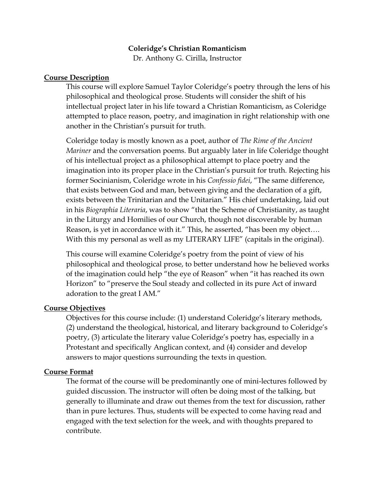### **Coleridge's Christian Romanticism**

Dr. Anthony G. Cirilla, Instructor

#### **Course Description**

This course will explore Samuel Taylor Coleridge's poetry through the lens of his philosophical and theological prose. Students will consider the shift of his intellectual project later in his life toward a Christian Romanticism, as Coleridge attempted to place reason, poetry, and imagination in right relationship with one another in the Christian's pursuit for truth.

Coleridge today is mostly known as a poet, author of *The Rime of the Ancient Mariner* and the conversation poems. But arguably later in life Coleridge thought of his intellectual project as a philosophical attempt to place poetry and the imagination into its proper place in the Christian's pursuit for truth. Rejecting his former Socinianism, Coleridge wrote in his *Confessio fidei*, "The same difference, that exists between God and man, between giving and the declaration of a gift, exists between the Trinitarian and the Unitarian." His chief undertaking, laid out in his *Biographia Literaria*, was to show "that the Scheme of Christianity, as taught in the Liturgy and Homilies of our Church, though not discoverable by human Reason, is yet in accordance with it." This, he asserted, "has been my object…. With this my personal as well as my LITERARY LIFE" (capitals in the original).

This course will examine Coleridge's poetry from the point of view of his philosophical and theological prose, to better understand how he believed works of the imagination could help "the eye of Reason" when "it has reached its own Horizon" to "preserve the Soul steady and collected in its pure Act of inward adoration to the great I AM."

#### **Course Objectives**

Objectives for this course include: (1) understand Coleridge's literary methods, (2) understand the theological, historical, and literary background to Coleridge's poetry, (3) articulate the literary value Coleridge's poetry has, especially in a Protestant and specifically Anglican context, and (4) consider and develop answers to major questions surrounding the texts in question.

#### **Course Format**

The format of the course will be predominantly one of mini-lectures followed by guided discussion. The instructor will often be doing most of the talking, but generally to illuminate and draw out themes from the text for discussion, rather than in pure lectures. Thus, students will be expected to come having read and engaged with the text selection for the week, and with thoughts prepared to contribute.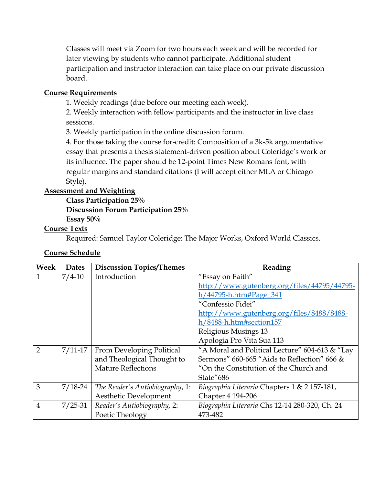Classes will meet via Zoom for two hours each week and will be recorded for later viewing by students who cannot participate. Additional student participation and instructor interaction can take place on our private discussion board.

### **Course Requirements**

1. Weekly readings (due before our meeting each week).

2. Weekly interaction with fellow participants and the instructor in live class sessions.

3. Weekly participation in the online discussion forum.

4. For those taking the course for-credit: Composition of a 3k-5k argumentative essay that presents a thesis statement-driven position about Coleridge's work or its influence. The paper should be 12-point Times New Romans font, with regular margins and standard citations (I will accept either MLA or Chicago Style).

## **Assessment and Weighting**

**Class Participation 25% Discussion Forum Participation 25% Essay 50%**

## **Course Texts**

Required: Samuel Taylor Coleridge: The Major Works, Oxford World Classics.

# **Course Schedule**

| Week           | <b>Dates</b> | <b>Discussion Topics/Themes</b> | Reading                                        |
|----------------|--------------|---------------------------------|------------------------------------------------|
| $\mathbf{1}$   | $7/4 - 10$   | Introduction                    | "Essay on Faith"                               |
|                |              |                                 | http://www.gutenberg.org/files/44795/44795-    |
|                |              |                                 | h/44795-h.htm#Page_341                         |
|                |              |                                 | "Confessio Fidei"                              |
|                |              |                                 | http://www.gutenberg.org/files/8488/8488-      |
|                |              |                                 | h/8488-h.htm#section157                        |
|                |              |                                 | Religious Musings 13                           |
|                |              |                                 | Apologia Pro Vita Sua 113                      |
| $\mathcal{P}$  | $7/11 - 17$  | From Developing Political       | "A Moral and Political Lecture" 604-613 & "Lay |
|                |              | and Theological Thought to      | Sermons" 660-665 "Aids to Reflection" 666 &    |
|                |              | <b>Mature Reflections</b>       | "On the Constitution of the Church and         |
|                |              |                                 | State"686                                      |
| 3              | $7/18-24$    | The Reader's Autiobiography, 1: | Biographia Literaria Chapters 1 & 2 157-181,   |
|                |              | Aesthetic Development           | Chapter 4 194-206                              |
| $\overline{4}$ | $7/25 - 31$  | Reader's Autiobiography, 2:     | Biographia Literaria Chs 12-14 280-320, Ch. 24 |
|                |              | Poetic Theology                 | 473-482                                        |